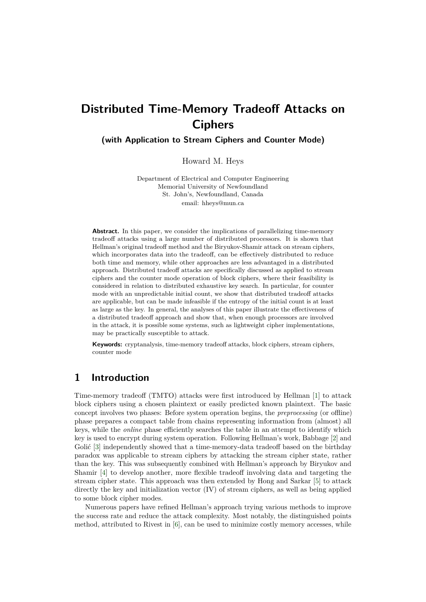# **Distributed Time-Memory Tradeoff Attacks on Ciphers**

**(with Application to Stream Ciphers and Counter Mode)**

Howard M. Heys

Department of Electrical and Computer Engineering Memorial University of Newfoundland St. John's, Newfoundland, Canada email: hheys@mun.ca

**Abstract.** In this paper, we consider the implications of parallelizing time-memory tradeoff attacks using a large number of distributed processors. It is shown that Hellman's original tradeoff method and the Biryukov-Shamir attack on stream ciphers, which incorporates data into the tradeoff, can be effectively distributed to reduce both time and memory, while other approaches are less advantaged in a distributed approach. Distributed tradeoff attacks are specifically discussed as applied to stream ciphers and the counter mode operation of block ciphers, where their feasibility is considered in relation to distributed exhaustive key search. In particular, for counter mode with an unpredictable initial count, we show that distributed tradeoff attacks are applicable, but can be made infeasible if the entropy of the initial count is at least as large as the key. In general, the analyses of this paper illustrate the effectiveness of a distributed tradeoff approach and show that, when enough processors are involved in the attack, it is possible some systems, such as lightweight cipher implementations, may be practically susceptible to attack.

**Keywords:** cryptanalysis, time-memory tradeoff attacks, block ciphers, stream ciphers, counter mode

## **1 Introduction**

Time-memory tradeoff (TMTO) attacks were first introduced by Hellman [\[1\]](#page-17-0) to attack block ciphers using a chosen plaintext or easily predicted known plaintext. The basic concept involves two phases: Before system operation begins, the *preprocessing* (or offline) phase prepares a compact table from chains representing information from (almost) all keys, while the *online* phase efficiently searches the table in an attempt to identify which key is used to encrypt during system operation. Following Hellman's work, Babbage [\[2\]](#page-17-1) and Golić  $\lceil 3 \rceil$  independently showed that a time-memory-data tradeoff based on the birthday paradox was applicable to stream ciphers by attacking the stream cipher state, rather than the key. This was subsequently combined with Hellman's approach by Biryukov and Shamir [\[4\]](#page-17-3) to develop another, more flexible tradeoff involving data and targeting the stream cipher state. This approach was then extended by Hong and Sarkar [\[5\]](#page-17-4) to attack directly the key and initialization vector (IV) of stream ciphers, as well as being applied to some block cipher modes.

Numerous papers have refined Hellman's approach trying various methods to improve the success rate and reduce the attack complexity. Most notably, the distinguished points method, attributed to Rivest in [\[6\]](#page-17-5), can be used to minimize costly memory accesses, while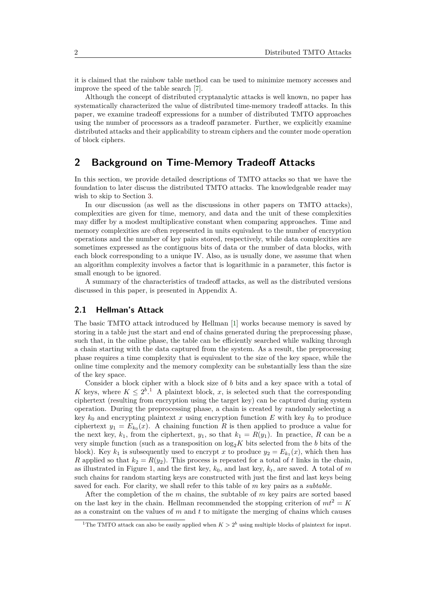it is claimed that the rainbow table method can be used to minimize memory accesses and improve the speed of the table search [\[7\]](#page-17-6).

Although the concept of distributed cryptanalytic attacks is well known, no paper has systematically characterized the value of distributed time-memory tradeoff attacks. In this paper, we examine tradeoff expressions for a number of distributed TMTO approaches using the number of processors as a tradeoff parameter. Further, we explicitly examine distributed attacks and their applicability to stream ciphers and the counter mode operation of block ciphers.

## **2 Background on Time-Memory Tradeoff Attacks**

In this section, we provide detailed descriptions of TMTO attacks so that we have the foundation to later discuss the distributed TMTO attacks. The knowledgeable reader may wish to skip to Section [3.](#page-5-0)

In our discussion (as well as the discussions in other papers on TMTO attacks), complexities are given for time, memory, and data and the unit of these complexities may differ by a modest multiplicative constant when comparing approaches. Time and memory complexities are often represented in units equivalent to the number of encryption operations and the number of key pairs stored, respectively, while data complexities are sometimes expressed as the contiguous bits of data or the number of data blocks, with each block corresponding to a unique IV. Also, as is usually done, we assume that when an algorithm complexity involves a factor that is logarithmic in a parameter, this factor is small enough to be ignored.

A summary of the characteristics of tradeoff attacks, as well as the distributed versions discussed in this paper, is presented in Appendix A.

### **2.1 Hellman's Attack**

The basic TMTO attack introduced by Hellman [\[1\]](#page-17-0) works because memory is saved by storing in a table just the start and end of chains generated during the preprocessing phase, such that, in the online phase, the table can be efficiently searched while walking through a chain starting with the data captured from the system. As a result, the preprocessing phase requires a time complexity that is equivalent to the size of the key space, while the online time complexity and the memory complexity can be substantially less than the size of the key space.

Consider a block cipher with a block size of *b* bits and a key space with a total of *K* keys, where  $K \leq 2^{b}$ .<sup>[1](#page-1-0)</sup> A plaintext block, *x*, is selected such that the corresponding ciphertext (resulting from encryption using the target key) can be captured during system operation. During the preprocessing phase, a chain is created by randomly selecting a key  $k_0$  and encrypting plaintext  $x$  using encryption function  $E$  with key  $k_0$  to produce ciphertext  $y_1 = E_{k_0}(x)$ . A chaining function R is then applied to produce a value for the next key,  $k_1$ , from the ciphertext,  $y_1$ , so that  $k_1 = R(y_1)$ . In practice, R can be a very simple function (such as a transposition on  $log_2 K$  bits selected from the *b* bits of the block). Key  $k_1$  is subsequently used to encrypt x to produce  $y_2 = E_{k_1}(x)$ , which then has *R* applied so that  $k_2 = R(y_2)$ . This process is repeated for a total of *t* links in the chain, as illustrated in Figure [1,](#page-2-0) and the first key,  $k_0$ , and last key,  $k_t$ , are saved. A total of m such chains for random starting keys are constructed with just the first and last keys being saved for each. For clarity, we shall refer to this table of *m* key pairs as a *subtable*.

After the completion of the *m* chains, the subtable of *m* key pairs are sorted based on the last key in the chain. Hellman recommended the stopping criterion of  $mt^2 = K$ as a constraint on the values of *m* and *t* to mitigate the merging of chains which causes

<span id="page-1-0"></span><sup>&</sup>lt;sup>1</sup>The TMTO attack can also be easily applied when  $K > 2<sup>b</sup>$  using multiple blocks of plaintext for input.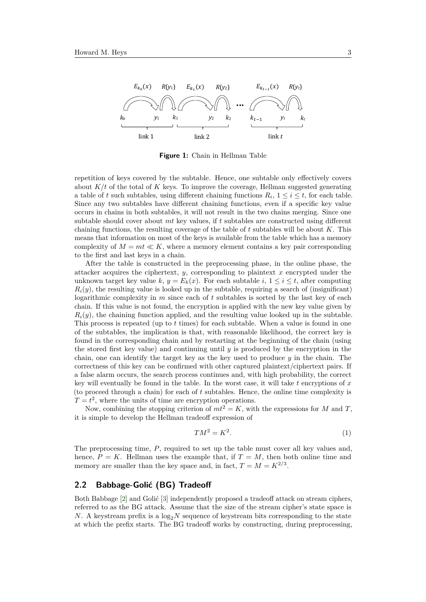<span id="page-2-0"></span>

**Figure 1:** Chain in Hellman Table

repetition of keys covered by the subtable. Hence, one subtable only effectively covers about  $K/t$  of the total of K keys. To improve the coverage, Hellman suggested generating a table of *t* such subtables, using different chaining functions  $R_i$ ,  $1 \le i \le t$ , for each table. Since any two subtables have different chaining functions, even if a specific key value occurs in chains in both subtables, it will not result in the two chains merging. Since one subtable should cover about *mt* key values, if *t* subtables are constructed using different chaining functions, the resulting coverage of the table of *t* subtables will be about *K*. This means that information on most of the keys is available from the table which has a memory complexity of  $M = mt \ll K$ , where a memory element contains a key pair corresponding to the first and last keys in a chain.

After the table is constructed in the preprocessing phase, in the online phase, the attacker acquires the ciphertext, *y*, corresponding to plaintext *x* encrypted under the unknown target key value  $k, y = E_k(x)$ . For each subtable  $i, 1 \leq i \leq t$ , after computing  $R_i(y)$ , the resulting value is looked up in the subtable, requiring a search of (insignificant) logarithmic complexity in *m* since each of *t* subtables is sorted by the last key of each chain. If this value is not found, the encryption is applied with the new key value given by  $R_i(y)$ , the chaining function applied, and the resulting value looked up in the subtable. This process is repeated (up to *t* times) for each subtable. When a value is found in one of the subtables, the implication is that, with reasonable likelihood, the correct key is found in the corresponding chain and by restarting at the beginning of the chain (using the stored first key value) and continuing until  $y$  is produced by the encryption in the chain, one can identify the target key as the key used to produce *y* in the chain. The correctness of this key can be confirmed with other captured plaintext/ciphertext pairs. If a false alarm occurs, the search process continues and, with high probability, the correct key will eventually be found in the table. In the worst case, it will take *t* encryptions of *x* (to proceed through a chain) for each of *t* subtables. Hence, the online time complexity is  $T = t^2$ , where the units of time are encryption operations.

Now, combining the stopping criterion of  $mt^2 = K$ , with the expressions for *M* and *T*, it is simple to develop the Hellman tradeoff expression of

<span id="page-2-1"></span>
$$
TM^2 = K^2.\t\t(1)
$$

The preprocessing time, *P*, required to set up the table must cover all key values and, hence,  $P = K$ . Hellman uses the example that, if  $T = M$ , then both online time and memory are smaller than the key space and, in fact,  $T = M = K^{2/3}$ .

#### **2.2 Babbage-Golić (BG) Tradeoff**

Both Babbage [\[2\]](#page-17-1) and Golić [\[3\]](#page-17-2) independently proposed a tradeoff attack on stream ciphers, referred to as the BG attack. Assume that the size of the stream cipher's state space is *N*. A keystream prefix is a  $log_2 N$  sequence of keystream bits corresponding to the state at which the prefix starts. The BG tradeoff works by constructing, during preprocessing,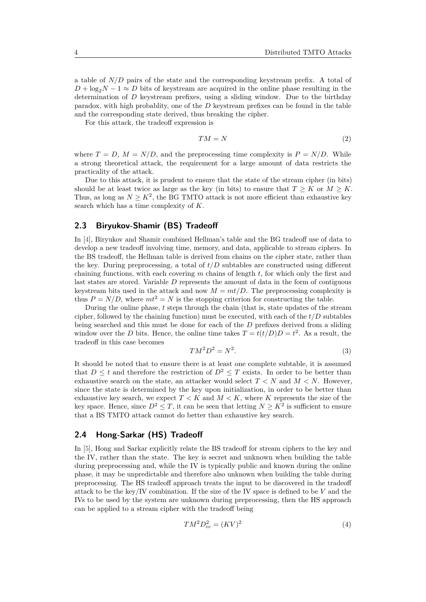a table of *N/D* pairs of the state and the corresponding keystream prefix. A total of  $D + \log_2 N - 1 \approx D$  bits of keystream are acquired in the online phase resulting in the determination of *D* keystream prefixes, using a sliding window. Due to the birthday paradox, with high probablity, one of the *D* keystream prefixes can be found in the table and the corresponding state derived, thus breaking the cipher.

For this attack, the tradeoff expression is

$$
TM = N \tag{2}
$$

where  $T = D$ ,  $M = N/D$ , and the preprocessing time complexity is  $P = N/D$ . While a strong theoretical attack, the requirement for a large amount of data restricts the practicality of the attack.

Due to this attack, it is prudent to ensure that the state of the stream cipher (in bits) should be at least twice as large as the key (in bits) to ensure that  $T \geq K$  or  $M \geq K$ . Thus, as long as  $N \geq K^2$ , the BG TMTO attack is not more efficient than exhaustive key search which has a time complexity of *K*.

#### **2.3 Biryukov-Shamir (BS) Tradeoff**

In [\[4\]](#page-17-3), Biryukov and Shamir combined Hellman's table and the BG tradeoff use of data to develop a new tradeoff involving time, memory, and data, applicable to stream ciphers. In the BS tradeoff, the Hellman table is derived from chains on the cipher state, rather than the key. During preprocessing, a total of *t/D* subtables are constructed using different chaining functions, with each covering *m* chains of length *t*, for which only the first and last states are stored. Variable *D* represents the amount of data in the form of contiguous keystream bits used in the attack and now  $M = mt/D$ . The preprocessing complexity is thus  $P = N/D$ , where  $m t^2 = N$  is the stopping criterion for constructing the table.

During the online phase, *t* steps through the chain (that is, state updates of the stream cipher, followed by the chaining function) must be executed, with each of the  $t/D$  subtables being searched and this must be done for each of the *D* prefixes derived from a sliding window over the *D* bits. Hence, the online time takes  $T = t(t/D)D = t^2$ . As a result, the tradeoff in this case becomes

<span id="page-3-0"></span>
$$
TM^2D^2 = N^2.\t\t(3)
$$

It should be noted that to ensure there is at least one complete subtable, it is assumed that  $D \leq t$  and therefore the restriction of  $D^2 \leq T$  exists. In order to be better than exhaustive search on the state, an attacker would select  $T < N$  and  $M < N$ . However, since the state is determined by the key upon initialization, in order to be better than exhaustive key search, we expect  $T < K$  and  $M < K$ , where K represents the size of the key space. Hence, since  $D^2 \leq T$ , it can be seen that letting  $N \geq K^2$  is sufficient to ensure that a BS TMTO attack cannot do better than exhaustive key search.

### **2.4 Hong-Sarkar (HS) Tradeoff**

In [\[5\]](#page-17-4), Hong and Sarkar explicitly relate the BS tradeoff for stream ciphers to the key and the IV, rather than the state. The key is secret and unknown when building the table during preprocessing and, while the IV is typically public and known during the online phase, it may be unpredictable and therefore also unknown when building the table during preprocessing. The HS tradeoff approach treats the input to be discovered in the tradeoff attack to be the key/IV combination. If the size of the IV space is defined to be *V* and the IVs to be used by the system are unknown during preprocessing, then the HS approach can be applied to a stream cipher with the tradeoff being

<span id="page-3-1"></span>
$$
TM^2 D_{iv}^2 = (KV)^2 \tag{4}
$$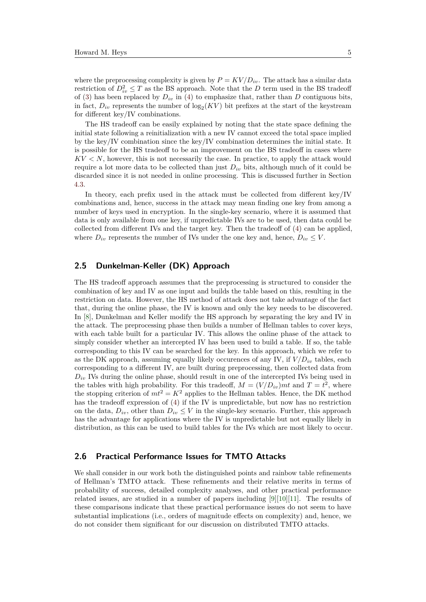where the preprocessing complexity is given by  $P = KV/D_{iv}$ . The attack has a similar data restriction of  $D_{iv}^2 \leq T$  as the BS approach. Note that the *D* term used in the BS tradeoff of [\(3\)](#page-3-0) has been replaced by  $D_{iv}$  in [\(4\)](#page-3-1) to emphasize that, rather than  $D$  contiguous bits, in fact,  $D_{iv}$  represents the number of  $log_2(KV)$  bit prefixes at the start of the keystream for different key/IV combinations.

The HS tradeoff can be easily explained by noting that the state space defining the initial state following a reinitialization with a new IV cannot exceed the total space implied by the key/IV combination since the key/IV combination determines the initial state. It is possible for the HS tradeoff to be an improvement on the BS tradeoff in cases where  $KV < N$ , however, this is not necessarily the case. In practice, to apply the attack would require a lot more data to be collected than just  $D_{iv}$  bits, although much of it could be discarded since it is not needed in online processing. This is discussed further in Section [4.3.](#page-10-0)

In theory, each prefix used in the attack must be collected from different key/IV combinations and, hence, success in the attack may mean finding one key from among a number of keys used in encryption. In the single-key scenario, where it is assumed that data is only available from one key, if unpredictable IVs are to be used, then data could be collected from different IVs and the target key. Then the tradeoff of [\(4\)](#page-3-1) can be applied, where  $D_{iv}$  represents the number of IVs under the one key and, hence,  $D_{iv} \leq V$ .

### **2.5 Dunkelman-Keller (DK) Approach**

The HS tradeoff approach assumes that the preprocessing is structured to consider the combination of key and IV as one input and builds the table based on this, resulting in the restriction on data. However, the HS method of attack does not take advantage of the fact that, during the online phase, the IV is known and only the key needs to be discovered. In [\[8\]](#page-17-7), Dunkelman and Keller modify the HS approach by separating the key and IV in the attack. The preprocessing phase then builds a number of Hellman tables to cover keys, with each table built for a particular IV. This allows the online phase of the attack to simply consider whether an intercepted IV has been used to build a table. If so, the table corresponding to this IV can be searched for the key. In this approach, which we refer to as the DK approach, assuming equally likely occurences of any IV, if  $V/D_{iv}$  tables, each corresponding to a different IV, are built during preprocessing, then collected data from  $D_{iv}$  IVs during the online phase, should result in one of the intercepted IVs being used in the tables with high probability. For this tradeoff,  $M = (V/D_{iv})mt$  and  $T = t^2$ , where the stopping criterion of  $mt^2 = K^2$  applies to the Hellman tables. Hence, the DK method has the tradeoff expression of [\(4\)](#page-3-1) if the IV is unpredictable, but now has no restriction on the data,  $D_{iv}$ , other than  $D_{iv} \leq V$  in the single-key scenario. Further, this approach has the advantage for applications where the IV is unpredictable but not equally likely in distribution, as this can be used to build tables for the IVs which are most likely to occur.

### **2.6 Practical Performance Issues for TMTO Attacks**

We shall consider in our work both the distinguished points and rainbow table refinements of Hellman's TMTO attack. These refinements and their relative merits in terms of probability of success, detailed complexity analyses, and other practical performance related issues, are studied in a number of papers including  $[9][10][11]$  $[9][10][11]$  $[9][10][11]$ . The results of these comparisons indicate that these practical performance issues do not seem to have substantial implications (i.e., orders of magnitude effects on complexity) and, hence, we do not consider them significant for our discussion on distributed TMTO attacks.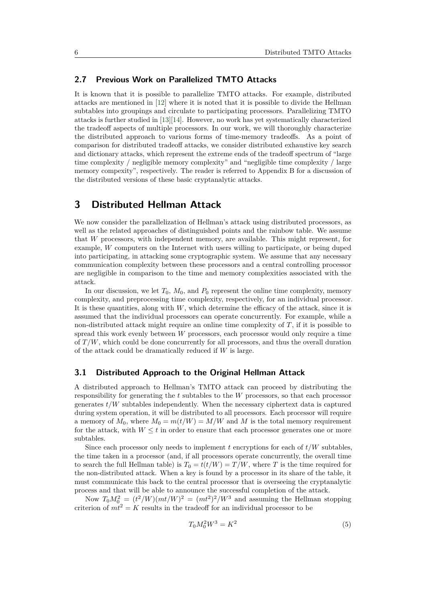#### **2.7 Previous Work on Parallelized TMTO Attacks**

It is known that it is possible to parallelize TMTO attacks. For example, distributed attacks are mentioned in [\[12\]](#page-18-0) where it is noted that it is possible to divide the Hellman subtables into groupings and circulate to participating processors. Parallelizing TMTO attacks is further studied in [\[13\]](#page-18-1)[\[14\]](#page-18-2). However, no work has yet systematically characterized the tradeoff aspects of multiple processors. In our work, we will thoroughly characterize the distributed approach to various forms of time-memory tradeoffs. As a point of comparison for distributed tradeoff attacks, we consider distributed exhaustive key search and dictionary attacks, which represent the extreme ends of the tradeoff spectrum of "large time complexity / negligible memory complexity" and "negligible time complexity / large memory compexity", respectively. The reader is referred to Appendix B for a discussion of the distributed versions of these basic cryptanalytic attacks.

## <span id="page-5-0"></span>**3 Distributed Hellman Attack**

We now consider the parallelization of Hellman's attack using distributed processors, as well as the related approaches of distinguished points and the rainbow table. We assume that *W* processors, with independent memory, are available. This might represent, for example, *W* computers on the Internet with users willing to participate, or being duped into participating, in attacking some cryptographic system. We assume that any necessary communication complexity between these processors and a central controlling processor are negligible in comparison to the time and memory complexities associated with the attack.

In our discussion, we let  $T_0$ ,  $M_0$ , and  $P_0$  represent the online time complexity, memory complexity, and preprocessing time complexity, respectively, for an individual processor. It is these quantities, along with *W*, which determine the efficacy of the attack, since it is assumed that the individual processors can operate concurrently. For example, while a non-distributed attack might require an online time complexity of *T*, if it is possible to spread this work evenly between *W* processors, each processor would only require a time of *T /W*, which could be done concurrently for all processors, and thus the overall duration of the attack could be dramatically reduced if *W* is large.

#### **3.1 Distributed Approach to the Original Hellman Attack**

A distributed approach to Hellman's TMTO attack can proceed by distributing the responsibility for generating the *t* subtables to the *W* processors, so that each processor generates *t/W* subtables independently. When the necessary ciphertext data is captured during system operation, it will be distributed to all processors. Each processor will require a memory of  $M_0$ , where  $M_0 = m(t/W) = M/W$  and M is the total memory requirement for the attack, with  $W \leq t$  in order to ensure that each processor generates one or more subtables.

Since each processor only needs to implement  $t$  encryptions for each of  $t/W$  subtables, the time taken in a processor (and, if all processors operate concurrently, the overall time to search the full Hellman table) is  $T_0 = t(t/W) = T/W$ , where T is the time required for the non-distributed attack. When a key is found by a processor in its share of the table, it must communicate this back to the central processor that is overseeing the cryptanalytic process and that will be able to announce the successful completion of the attack.

Now  $T_0 M_0^2 = (t^2/W)(mt/W)^2 = (mt^2)^2/W^3$  and assuming the Hellman stopping criterion of  $m\tilde{t}^2 = K$  results in the tradeoff for an individual processor to be

<span id="page-5-1"></span>
$$
T_0 M_0^2 W^3 = K^2 \tag{5}
$$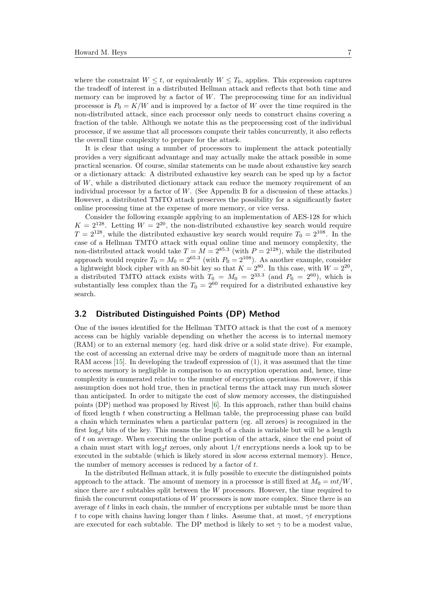where the constraint  $W \leq t$ , or equivalently  $W \leq T_0$ , applies. This expression captures the tradeoff of interest in a distributed Hellman attack and reflects that both time and memory can be improved by a factor of *W*. The preprocessing time for an individual processor is  $P_0 = K/W$  and is improved by a factor of *W* over the time required in the non-distributed attack, since each processor only needs to construct chains covering a fraction of the table. Although we notate this as the preprocessing cost of the individual processor, if we assume that all processors compute their tables concurrently, it also reflects the overall time complexity to prepare for the attack.

It is clear that using a number of processors to implement the attack potentially provides a very significant advantage and may actually make the attack possible in some practical scenarios. Of course, similar statements can be made about exhaustive key search or a dictionary attack: A distributed exhaustive key search can be sped up by a factor of *W*, while a distributed dictionary attack can reduce the memory requirement of an individual processor by a factor of *W*. (See Appendix B for a discussion of these attacks.) However, a distributed TMTO attack preserves the possibility for a significantly faster online processing time at the expense of more memory, or vice versa.

Consider the following example applying to an implementation of AES-128 for which  $K = 2^{128}$ . Letting  $W = 2^{20}$ , the non-distributed exhaustive key search would require  $T = 2^{128}$ , while the distributed exhaustive key search would require  $T_0 = 2^{108}$ . In the case of a Hellman TMTO attack with equal online time and memory complexity, the non-distributed attack would take  $T = M = 2^{85.3}$  (with  $P = 2^{128}$ ), while the distributed approach would require  $T_0 = M_0 = 2^{65.3}$  (with  $P_0 = 2^{108}$ ). As another example, consider a lightweight block cipher with an 80-bit key so that  $K = 2^{80}$ . In this case, with  $W = 2^{20}$ , a distributed TMTO attack exists with  $T_0 = M_0 = 2^{33.3}$  (and  $P_0 = 2^{60}$ ), which is substantially less complex than the  $T_0 = 2^{60}$  required for a distributed exhaustive key search.

### **3.2 Distributed Distinguished Points (DP) Method**

One of the issues identified for the Hellman TMTO attack is that the cost of a memory access can be highly variable depending on whether the access is to internal memory (RAM) or to an external memory (eg. hard disk drive or a solid state drive). For example, the cost of accessing an external drive may be orders of magnitude more than an internal RAM access [\[15\]](#page-18-3). In developing the tradeoff expression of [\(1\)](#page-2-1), it was assumed that the time to access memory is negligible in comparison to an encryption operation and, hence, time complexity is enumerated relative to the number of encryption operations. However, if this assumption does not hold true, then in practical terms the attack may run much slower than anticipated. In order to mitigate the cost of slow memory accesses, the distinguished points (DP) method was proposed by Rivest [\[6\]](#page-17-5). In this approach, rather than build chains of fixed length *t* when constructing a Hellman table, the preprocessing phase can build a chain which terminates when a particular pattern (eg. all zeroes) is recognized in the first  $log_2 t$  bits of the key. This means the length of a chain is variable but will be a length of *t* on average. When executing the online portion of the attack, since the end point of a chain must start with  $\log_2 t$  zeroes, only about  $1/t$  encryptions needs a look up to be executed in the subtable (which is likely stored in slow access external memory). Hence, the number of memory accesses is reduced by a factor of *t*.

In the distributed Hellman attack, it is fully possible to execute the distinguished points approach to the attack. The amount of memory in a processor is still fixed at  $M_0 = mt/W$ , since there are *t* subtables split between the *W* processors. However, the time required to finish the concurrent computations of W processors is now more complex. Since there is an average of *t* links in each chain, the number of encryptions per subtable must be more than *t* to cope with chains having longer than *t* links. Assume that, at most, *γt* encryptions are executed for each subtable. The DP method is likely to set  $\gamma$  to be a modest value,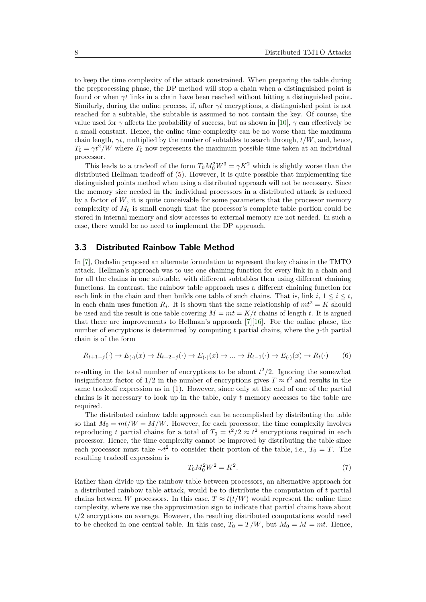to keep the time complexity of the attack constrained. When preparing the table during the preprocessing phase, the DP method will stop a chain when a distinguished point is found or when  $\gamma t$  links in a chain have been reached without hitting a distinguished point. Similarly, during the online process, if, after  $\gamma t$  encryptions, a distinguished point is not reached for a subtable, the subtable is assumed to not contain the key. Of course, the value used for  $\gamma$  affects the probability of success, but as shown in [\[10\]](#page-17-9),  $\gamma$  can effectively be a small constant. Hence, the online time complexity can be no worse than the maximum chain length,  $\gamma t$ , multiplied by the number of subtables to search through,  $t/W$ , and, hence,  $T_0 = \gamma t^2/W$  where  $T_0$  now represents the maximum possible time taken at an individual processor.

This leads to a tradeoff of the form  $T_0 M_0^2 W^3 = \gamma K^2$  which is slightly worse than the distributed Hellman tradeoff of [\(5\)](#page-5-1). However, it is quite possible that implementing the distinguished points method when using a distributed approach will not be necessary. Since the memory size needed in the individual processors in a distributed attack is reduced by a factor of  $W$ , it is quite conceivable for some parameters that the processor memory complexity of *M*<sup>0</sup> is small enough that the processor's complete table portion could be stored in internal memory and slow accesses to external memory are not needed. In such a case, there would be no need to implement the DP approach.

## **3.3 Distributed Rainbow Table Method**

In [\[7\]](#page-17-6), Oechslin proposed an alternate formulation to represent the key chains in the TMTO attack. Hellman's approach was to use one chaining function for every link in a chain and for all the chains in one subtable, with different subtables then using different chaining functions. In contrast, the rainbow table approach uses a different chaining function for each link in the chain and then builds one table of such chains. That is, link  $i, 1 \leq i \leq t$ , in each chain uses function  $R_i$ . It is shown that the same relationship of  $m t^2 = K$  should be used and the result is one table covering  $M = mt = K/t$  chains of length t. It is argued that there are improvements to Hellman's approach [\[7\]](#page-17-6)[\[16\]](#page-18-4). For the online phase, the number of encryptions is determined by computing *t* partial chains, where the *j*-th partial chain is of the form

$$
R_{t+1-j}(\cdot) \to E_{(\cdot)}(x) \to R_{t+2-j}(\cdot) \to E_{(\cdot)}(x) \to \dots \to R_{t-1}(\cdot) \to E_{(\cdot)}(x) \to R_t(\cdot) \tag{6}
$$

resulting in the total number of encryptions to be about  $t^2/2$ . Ignoring the somewhat insignificant factor of  $1/2$  in the number of encryptions gives  $T \approx t^2$  and results in the same tradeoff expression as in [\(1\)](#page-2-1). However, since only at the end of one of the partial chains is it necessary to look up in the table, only *t* memory accesses to the table are required.

The distributed rainbow table approach can be accomplished by distributing the table so that  $M_0 = mt/W = M/W$ . However, for each processor, the time complexity involves reproducing *t* partial chains for a total of  $T_0 = t^2/2 \approx t^2$  encryptions required in each processor. Hence, the time complexity cannot be improved by distributing the table since each processor must take  $\sim t^2$  to consider their portion of the table, i.e.,  $T_0 = T$ . The resulting tradeoff expression is

<span id="page-7-0"></span>
$$
T_0 M_0^2 W^2 = K^2. \tag{7}
$$

Rather than divide up the rainbow table between processors, an alternative approach for a distributed rainbow table attack, would be to distribute the computation of *t* partial chains between *W* processors. In this case,  $T \approx t(t/W)$  would represent the online time complexity, where we use the approximation sign to indicate that partial chains have about *t/*2 encryptions on average. However, the resulting distributed computations would need to be checked in one central table. In this case,  $T_0 = T/W$ , but  $M_0 = M = mt$ . Hence,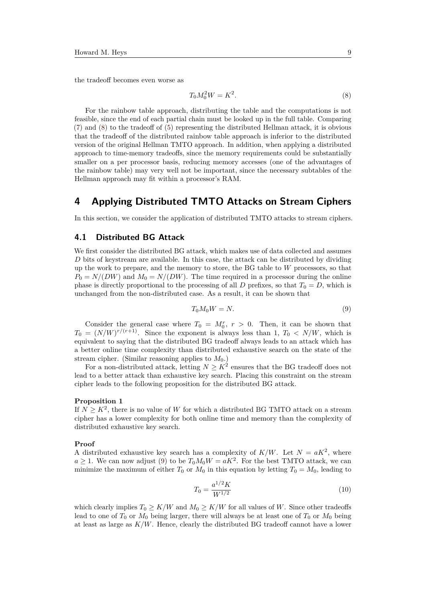the tradeoff becomes even worse as

<span id="page-8-0"></span>
$$
T_0 M_0^2 W = K^2.
$$
 (8)

For the rainbow table approach, distributing the table and the computations is not feasible, since the end of each partial chain must be looked up in the full table. Comparing [\(7\)](#page-7-0) and [\(8\)](#page-8-0) to the tradeoff of [\(5\)](#page-5-1) representing the distributed Hellman attack, it is obvious that the tradeoff of the distributed rainbow table approach is inferior to the distributed version of the original Hellman TMTO approach. In addition, when applying a distributed approach to time-memory tradeoffs, since the memory requirements could be substantially smaller on a per processor basis, reducing memory accesses (one of the advantages of the rainbow table) may very well not be important, since the necessary subtables of the Hellman approach may fit within a processor's RAM.

## **4 Applying Distributed TMTO Attacks on Stream Ciphers**

In this section, we consider the application of distributed TMTO attacks to stream ciphers.

### **4.1 Distributed BG Attack**

We first consider the distributed BG attack, which makes use of data collected and assumes *D* bits of keystream are available. In this case, the attack can be distributed by dividing up the work to prepare, and the memory to store, the BG table to *W* processors, so that  $P_0 = N/(DW)$  and  $M_0 = N/(DW)$ . The time required in a processor during the online phase is directly proportional to the processing of all *D* prefixes, so that  $T_0 = D$ , which is unchanged from the non-distributed case. As a result, it can be shown that

<span id="page-8-1"></span>
$$
T_0 M_0 W = N. \tag{9}
$$

Consider the general case where  $T_0 = M_0^r$ ,  $r > 0$ . Then, it can be shown that  $T_0 = (N/W)^{r/(r+1)}$ . Since the exponent is always less than 1,  $T_0 < N/W$ , which is equivalent to saying that the distributed BG tradeoff always leads to an attack which has a better online time complexity than distributed exhaustive search on the state of the stream cipher. (Similar reasoning applies to  $M_0$ .)

For a non-distributed attack, letting  $N \geq K^2$  ensures that the BG tradeoff does not lead to a better attack than exhaustive key search. Placing this constraint on the stream cipher leads to the following proposition for the distributed BG attack.

#### **Proposition 1**

If  $N \geq K^2$ , there is no value of W for which a distributed BG TMTO attack on a stream cipher has a lower complexity for both online time and memory than the complexity of distributed exhaustive key search.

#### **Proof**

A distributed exhaustive key search has a complexity of  $K/W$ . Let  $N = aK^2$ , where  $a \geq 1$ . We can now adjust [\(9\)](#page-8-1) to be  $T_0M_0W = aK^2$ . For the best TMTO attack, we can minimize the maximum of either  $T_0$  or  $M_0$  in this equation by letting  $T_0 = M_0$ , leading to

$$
T_0 = \frac{a^{1/2}K}{W^{1/2}}
$$
\n(10)

which clearly implies  $T_0 \geq K/W$  and  $M_0 \geq K/W$  for all values of *W*. Since other tradeoffs lead to one of  $T_0$  or  $M_0$  being larger, there will always be at least one of  $T_0$  or  $M_0$  being at least as large as  $K/W$ . Hence, clearly the distributed BG tradeoff cannot have a lower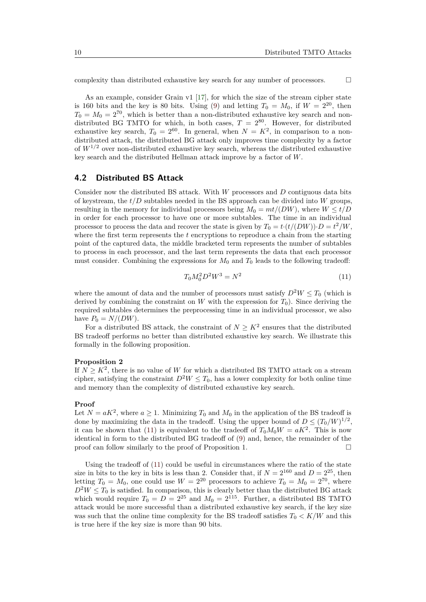complexity than distributed exhaustive key search for any number of processors.  $\Box$ 

As an example, consider Grain v1 [\[17\]](#page-18-5), for which the size of the stream cipher state is 160 bits and the key is 80 bits. Using [\(9\)](#page-8-1) and letting  $T_0 = M_0$ , if  $W = 2^{20}$ , then  $T_0 = M_0 = 2^{70}$ , which is better than a non-distributed exhaustive key search and nondistributed BG TMTO for which, in both cases,  $T = 2^{80}$ . However, for distributed exhaustive key search,  $T_0 = 2^{60}$ . In general, when  $N = K^2$ , in comparison to a nondistributed attack, the distributed BG attack only improves time complexity by a factor of  $W^{1/2}$  over non-distributed exhaustive key search, whereas the distributed exhaustive key search and the distributed Hellman attack improve by a factor of *W*.

#### **4.2 Distributed BS Attack**

Consider now the distributed BS attack. With *W* processors and *D* contiguous data bits of keystream, the *t/D* subtables needed in the BS approach can be divided into *W* groups, resulting in the memory for individual processors being  $M_0 = mt/(DW)$ , where  $W \leq t/D$ in order for each processor to have one or more subtables. The time in an individual processor to process the data and recover the state is given by  $T_0 = t \cdot (t/(DW)) \cdot D = t^2/W$ , where the first term represents the *t* encryptions to reproduce a chain from the starting point of the captured data, the middle bracketed term represents the number of subtables to process in each processor, and the last term represents the data that each processor must consider. Combining the expressions for  $M_0$  and  $T_0$  leads to the following tradeoff:

<span id="page-9-0"></span>
$$
T_0 M_0^2 D^2 W^3 = N^2 \tag{11}
$$

where the amount of data and the number of processors must satisfy  $D^2W \leq T_0$  (which is derived by combining the constraint on *W* with the expression for  $T_0$ ). Since deriving the required subtables determines the preprocessing time in an individual processor, we also have  $P_0 = N/(DW)$ .

For a distributed BS attack, the constraint of  $N \geq K^2$  ensures that the distributed BS tradeoff performs no better than distributed exhaustive key search. We illustrate this formally in the following proposition.

#### **Proposition 2**

If  $N \geq K^2$ , there is no value of W for which a distributed BS TMTO attack on a stream cipher, satisfying the constraint  $D^2W \leq T_0$ , has a lower complexity for both online time and memory than the complexity of distributed exhaustive key search.

#### **Proof**

Let  $N = aK^2$ , where  $a \ge 1$ . Minimizing  $T_0$  and  $M_0$  in the application of the BS tradeoff is done by maximizing the data in the tradeoff. Using the upper bound of  $D \leq (T_0/W)^{1/2}$ , it can be shown that [\(11\)](#page-9-0) is equivalent to the tradeoff of  $T_0M_0W = aK^2$ . This is now identical in form to the distributed BG tradeoff of [\(9\)](#page-8-1) and, hence, the remainder of the proof can follow similarly to the proof of Proposition 1.  $\Box$ 

Using the tradeoff of [\(11\)](#page-9-0) could be useful in circumstances where the ratio of the state size in bits to the key in bits is less than 2. Consider that, if  $N = 2^{160}$  and  $D = 2^{25}$ , then letting  $T_0 = M_0$ , one could use  $W = 2^{20}$  processors to achieve  $T_0 = M_0 = 2^{70}$ , where  $D^2W \leq T_0$  is satisfied. In comparison, this is clearly better than the distributed BG attack which would require  $T_0 = D = 2^{25}$  and  $M_0 = 2^{115}$ . Further, a distributed BS TMTO attack would be more successful than a distributed exhaustive key search, if the key size was such that the online time complexity for the BS tradeoff satisfies  $T_0 \leq K/W$  and this is true here if the key size is more than 90 bits.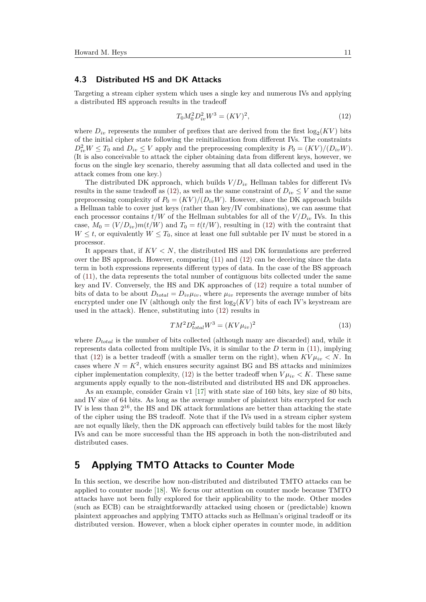#### <span id="page-10-0"></span>**4.3 Distributed HS and DK Attacks**

Targeting a stream cipher system which uses a single key and numerous IVs and applying a distributed HS approach results in the tradeoff

<span id="page-10-1"></span>
$$
T_0 M_0^2 D_{iv}^2 W^3 = (KV)^2,\tag{12}
$$

where  $D_{iv}$  represents the number of prefixes that are derived from the first  $\log_2(KV)$  bits of the initial cipher state following the reinitialization from different IVs. The constraints  $D_{iv}^2 W \leq T_0$  and  $D_{iv} \leq V$  apply and the preprocessing complexity is  $P_0 = (KV)/(D_{iv}W)$ . (It is also conceivable to attack the cipher obtaining data from different keys, however, we focus on the single key scenario, thereby assuming that all data collected and used in the attack comes from one key.)

The distributed DK approach, which builds  $V/D_{iv}$  Hellman tables for different IVs results in the same tradeoff as [\(12\)](#page-10-1), as well as the same constraint of  $D_{iv} \leq V$  and the same preprocessing complexity of  $P_0 = (KV)/(D_{iv}W)$ . However, since the DK approach builds a Hellman table to cover just keys (rather than key/IV combinations), we can assume that each processor contains  $t/W$  of the Hellman subtables for all of the  $V/D_{in}$  IVs. In this case,  $M_0 = (V/D_{iv})m(t/W)$  and  $T_0 = t(t/W)$ , resulting in [\(12\)](#page-10-1) with the contraint that  $W \leq t$ , or equivalently  $W \leq T_0$ , since at least one full subtable per IV must be stored in a processor.

It appears that, if *KV < N*, the distributed HS and DK formulations are preferred over the BS approach. However, comparing [\(11\)](#page-9-0) and [\(12\)](#page-10-1) can be deceiving since the data term in both expressions represents different types of data. In the case of the BS approach of [\(11\)](#page-9-0), the data represents the total number of contiguous bits collected under the same key and IV. Conversely, the HS and DK approaches of [\(12\)](#page-10-1) require a total number of bits of data to be about  $D_{total} = D_{iv}\mu_{iv}$ , where  $\mu_{iv}$  represents the average number of bits encrypted under one IV (although only the first  $\log_2(KV)$  bits of each IV's keystream are used in the attack). Hence, substituting into [\(12\)](#page-10-1) results in

$$
TM^{2}D_{total}^{2}W^{3} = (KV\mu_{iv})^{2}
$$
\n(13)

where  $D_{total}$  is the number of bits collected (although many are discarded) and, while it represents data collected from multiple IVs, it is similar to the  $D$  term in  $(11)$ , implying that [\(12\)](#page-10-1) is a better tradeoff (with a smaller term on the right), when  $KV\mu_{iv} < N$ . In cases where  $N = K^2$ , which ensures security against BG and BS attacks and minimizes cipher implementation complexity, [\(12\)](#page-10-1) is the better tradeoff when  $V\mu_{iv} < K$ . These same arguments apply equally to the non-distributed and distributed HS and DK approaches.

As an example, consider Grain v1 [\[17\]](#page-18-5) with state size of 160 bits, key size of 80 bits, and IV size of 64 bits. As long as the average number of plaintext bits encrypted for each IV is less than  $2^{16}$ , the HS and DK attack formulations are better than attacking the state of the cipher using the BS tradeoff. Note that if the IVs used in a stream cipher system are not equally likely, then the DK approach can effectively build tables for the most likely IVs and can be more successful than the HS approach in both the non-distributed and distributed cases.

## **5 Applying TMTO Attacks to Counter Mode**

In this section, we describe how non-distributed and distributed TMTO attacks can be applied to counter mode [\[18\]](#page-18-6). We focus our attention on counter mode because TMTO attacks have not been fully explored for their applicability to the mode. Other modes (such as ECB) can be straightforwardly attacked using chosen or (predictable) known plaintext approaches and applying TMTO attacks such as Hellman's original tradeoff or its distributed version. However, when a block cipher operates in counter mode, in addition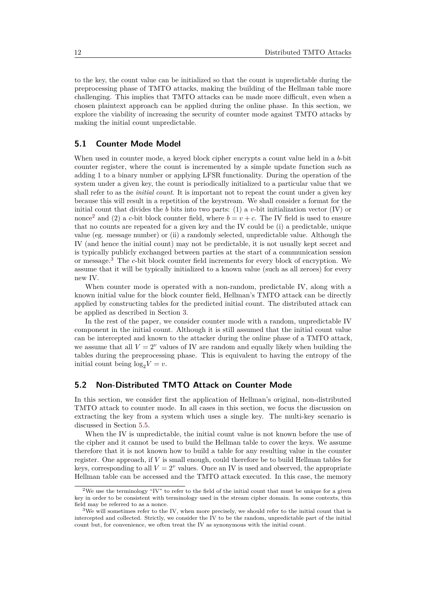to the key, the count value can be initialized so that the count is unpredictable during the preprocessing phase of TMTO attacks, making the building of the Hellman table more challenging. This implies that TMTO attacks can be made more difficult, even when a chosen plaintext approach can be applied during the online phase. In this section, we explore the viability of increasing the security of counter mode against TMTO attacks by making the initial count unpredictable.

### **5.1 Counter Mode Model**

When used in counter mode, a keyed block cipher encrypts a count value held in a *b*-bit counter register, where the count is incremented by a simple update function such as adding 1 to a binary number or applying LFSR functionality. During the operation of the system under a given key, the count is periodically initialized to a particular value that we shall refer to as the *initial count*. It is important not to repeat the count under a given key because this will result in a repetition of the keystream. We shall consider a format for the initial count that divides the *b* bits into two parts: (1) a *v*-bit initialization vector (IV) or nonce<sup>[2](#page-11-0)</sup> and (2) a *c*-bit block counter field, where  $b = v + c$ . The IV field is used to ensure that no counts are repeated for a given key and the IV could be (i) a predictable, unique value (eg. message number) or (ii) a randomly selected, unpredictable value. Although the IV (and hence the initial count) may not be predictable, it is not usually kept secret and is typically publicly exchanged between parties at the start of a communication session or message.[3](#page-11-1) The *c*-bit block counter field increments for every block of encryption. We assume that it will be typically initialized to a known value (such as all zeroes) for every new IV.

When counter mode is operated with a non-random, predictable IV, along with a known initial value for the block counter field, Hellman's TMTO attack can be directly applied by constructing tables for the predicted initial count. The distributed attack can be applied as described in Section [3.](#page-5-0)

In the rest of the paper, we consider counter mode with a random, unpredictable IV component in the initial count. Although it is still assumed that the initial count value can be intercepted and known to the attacker during the online phase of a TMTO attack, we assume that all  $V = 2^v$  values of IV are random and equally likely when building the tables during the preprocessing phase. This is equivalent to having the entropy of the initial count being  $log_2V = v$ .

#### **5.2 Non-Distributed TMTO Attack on Counter Mode**

In this section, we consider first the application of Hellman's original, non-distributed TMTO attack to counter mode. In all cases in this section, we focus the discussion on extracting the key from a system which uses a single key. The multi-key scenario is discussed in Section [5.5.](#page-15-0)

When the IV is unpredictable, the initial count value is not known before the use of the cipher and it cannot be used to build the Hellman table to cover the keys. We assume therefore that it is not known how to build a table for any resulting value in the counter register. One approach, if *V* is small enough, could therefore be to build Hellman tables for keys, corresponding to all  $V = 2^v$  values. Once an IV is used and observed, the appropriate Hellman table can be accessed and the TMTO attack executed. In this case, the memory

<span id="page-11-0"></span><sup>&</sup>lt;sup>2</sup>We use the terminology "IV" to refer to the field of the initial count that must be unique for a given key in order to be consistent with terminology used in the stream cipher domain. In some contexts, this field may be referred to as a nonce.

<span id="page-11-1"></span><sup>&</sup>lt;sup>3</sup>We will sometimes refer to the IV, when more precisely, we should refer to the initial count that is intercepted and collected. Strictly, we consider the IV to be the random, unpredictable part of the initial count but, for convenience, we often treat the IV as synonymous with the initial count.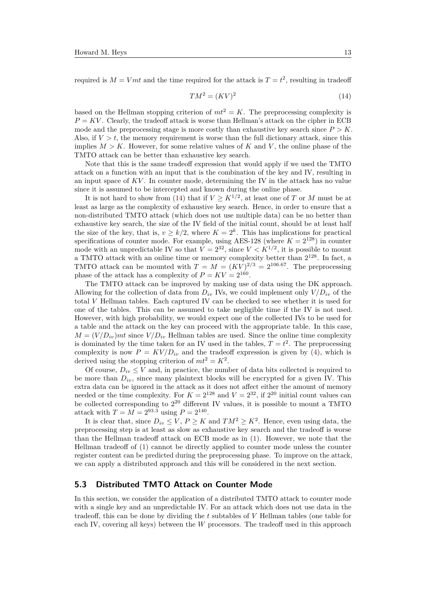required is  $M = Vmt$  and the time required for the attack is  $T = t^2$ , resulting in tradeoff

<span id="page-12-0"></span>
$$
TM^2 = (KV)^2 \tag{14}
$$

based on the Hellman stopping criterion of  $m t^2 = K$ . The preprocessing complexity is  $P = KV$ . Clearly, the tradeoff attack is worse than Hellman's attack on the cipher in ECB mode and the preprocessing stage is more costly than exhaustive key search since  $P > K$ . Also, if  $V > t$ , the memory requirement is worse than the full dictionary attack, since this implies  $M > K$ . However, for some relative values of K and V, the online phase of the TMTO attack can be better than exhaustive key search.

Note that this is the same tradeoff expression that would apply if we used the TMTO attack on a function with an input that is the combination of the key and IV, resulting in an input space of *KV* . In counter mode, determining the IV in the attack has no value since it is assumed to be intercepted and known during the online phase.

It is not hard to show from [\(14\)](#page-12-0) that if  $V \geq K^{1/2}$ , at least one of *T* or *M* must be at least as large as the complexity of exhaustive key search. Hence, in order to ensure that a non-distributed TMTO attack (which does not use multiple data) can be no better than exhaustive key search, the size of the IV field of the initial count, should be at least half the size of the key, that is,  $v \geq k/2$ , where  $K = 2<sup>k</sup>$ . This has implications for practical specifications of counter mode. For example, using AES-128 (where  $K = 2^{128}$ ) in counter mode with an unpredictable IV so that  $V = 2^{32}$ , since  $V < K^{1/2}$ , it is possible to mount a TMTO attack with an online time or memory complexity better than  $2^{128}$ . In fact, a TMTO attack can be mounted with  $T = M = (KV)^{2/3} = 2^{106.67}$ . The preprocessing phase of the attack has a complexity of  $P = KV = 2^{160}$ .

The TMTO attack can be improved by making use of data using the DK approach. Allowing for the collection of data from  $D_{iv}$  IVs, we could implement only  $V/D_{iv}$  of the total *V* Hellman tables. Each captured IV can be checked to see whether it is used for one of the tables. This can be assumed to take negligible time if the IV is not used. However, with high probability, we would expect one of the collected IVs to be used for a table and the attack on the key can proceed with the appropriate table. In this case,  $M = (V/D_{iv})mt$  since  $V/D_{iv}$  Hellman tables are used. Since the online time complexity is dominated by the time taken for an IV used in the tables,  $T = t^2$ . The preprocessing complexity is now  $P = KV/D_{iv}$  and the tradeoff expression is given by [\(4\)](#page-3-1), which is derived using the stopping criterion of  $mt^2 = K^2$ .

Of course,  $D_{iv} \leq V$  and, in practice, the number of data bits collected is required to be more than  $D_{iv}$ , since many plaintext blocks will be encrypted for a given IV. This extra data can be ignored in the attack as it does not affect either the amount of memory needed or the time complexity. For  $K = 2^{128}$  and  $V = 2^{32}$ , if  $2^{20}$  initial count values can be collected corresponding to  $2^{20}$  different IV values, it is possible to mount a TMTO attack with  $T = M = 2^{93.3}$  using  $P = 2^{140}$ .

It is clear that, since  $D_{iv} \leq V$ ,  $P \geq K$  and  $TM^2 \geq K^2$ . Hence, even using data, the preprocessing step is at least as slow as exhaustive key search and the tradeoff is worse than the Hellman tradeoff attack on ECB mode as in [\(1\)](#page-2-1). However, we note that the Hellman tradeoff of [\(1\)](#page-2-1) cannot be directly applied to counter mode unless the counter register content can be predicted during the preprocessing phase. To improve on the attack, we can apply a distributed approach and this will be considered in the next section.

### **5.3 Distributed TMTO Attack on Counter Mode**

In this section, we consider the application of a distributed TMTO attack to counter mode with a single key and an unpredictable IV. For an attack which does not use data in the tradeoff, this can be done by dividing the *t* subtables of *V* Hellman tables (one table for each IV, covering all keys) between the *W* processors. The tradeoff used in this approach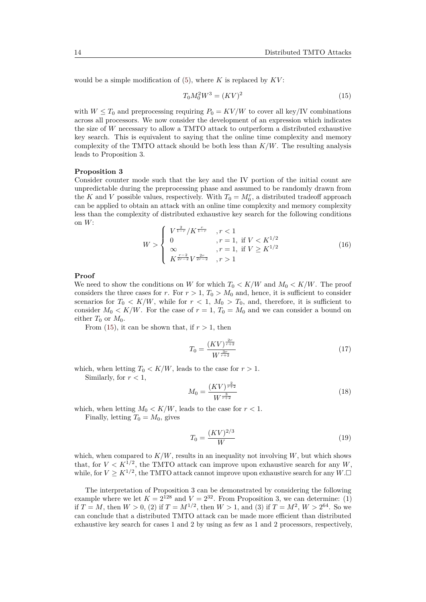would be a simple modification of [\(5\)](#page-5-1), where *K* is replaced by *KV* :

<span id="page-13-0"></span>
$$
T_0 M_0^2 W^3 = (KV)^2 \tag{15}
$$

with  $W \leq T_0$  and preprocessing requiring  $P_0 = KV/W$  to cover all key/IV combinations across all processors. We now consider the development of an expression which indicates the size of *W* necessary to allow a TMTO attack to outperform a distributed exhaustive key search. This is equivalent to saying that the online time complexity and memory complexity of the TMTO attack should be both less than *K/W*. The resulting analysis leads to Proposition 3.

#### **Proposition 3**

Consider counter mode such that the key and the IV portion of the initial count are unpredictable during the preprocessing phase and assumed to be randomly drawn from the *K* and *V* possible values, respectively. With  $T_0 = M_0^r$ , a distributed tradeoff approach can be applied to obtain an attack with an online time complexity and memory complexity less than the complexity of distributed exhaustive key search for the following conditions on *W*:

$$
W > \begin{cases} V^{\frac{2}{1-r}}/K^{\frac{r}{1-r}} & , r < 1\\ 0 & , r = 1, \text{ if } V < K^{1/2}\\ \infty & , r = 1, \text{ if } V \ge K^{1/2}\\ K^{\frac{r-2}{2r-2}}V^{\frac{2r}{2r-2}} & , r > 1 \end{cases}
$$
(16)

#### **Proof**

We need to show the conditions on *W* for which  $T_0 \lt K/W$  and  $M_0 \lt K/W$ . The proof considers the three cases for *r*. For  $r > 1$ ,  $T_0 > M_0$  and, hence, it is sufficient to consider scenarios for  $T_0 < K/W$ , while for  $r < 1$ ,  $M_0 > T_0$ , and, therefore, it is sufficient to consider  $M_0 < K/W$ . For the case of  $r = 1$ ,  $T_0 = M_0$  and we can consider a bound on either  $T_0$  or  $M_0$ .

From [\(15\)](#page-13-0), it can be shown that, if  $r > 1$ , then

$$
T_0 = \frac{(KV)^{\frac{2r}{r+2}}}{W^{\frac{3r}{r+2}}}
$$
\n(17)

which, when letting  $T_0 \leq K/W$ , leads to the case for  $r > 1$ .

Similarly, for  $r < 1$ ,

$$
M_0 = \frac{(KV)^{\frac{2}{r+2}}}{W^{\frac{3}{r+2}}}
$$
\n(18)

which, when letting  $M_0 < K/W$ , leads to the case for  $r < 1$ .

Finally, letting  $T_0 = M_0$ , gives

$$
T_0 = \frac{(KV)^{2/3}}{W}
$$
\n(19)

which, when compared to  $K/W$ , results in an inequality not involving  $W$ , but which shows that, for  $V < K^{1/2}$ , the TMTO attack can improve upon exhaustive search for any *W*, while, for  $V \geq K^{1/2}$ , the TMTO attack cannot improve upon exhaustive search for any  $W$ .

The interpretation of Proposition 3 can be demonstrated by considering the following example where we let  $K = 2^{128}$  and  $V = 2^{32}$ . From Proposition 3, we can determine: (1) if  $T = M$ , then  $W > 0$ , (2) if  $T = M^{1/2}$ , then  $W > 1$ , and (3) if  $T = M^2$ ,  $W > 2^{64}$ . So we can conclude that a distributed TMTO attack can be made more efficient than distributed exhaustive key search for cases 1 and 2 by using as few as 1 and 2 processors, respectively,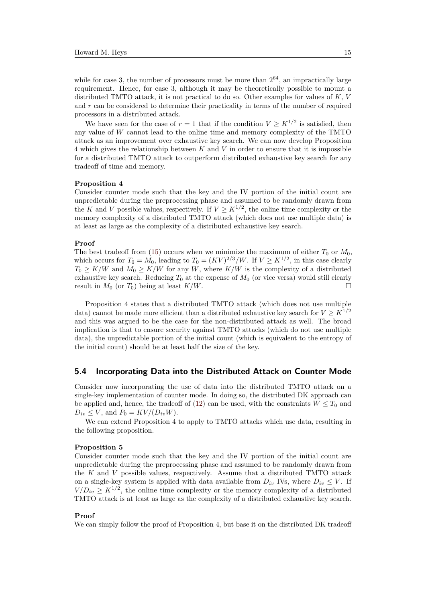while for case 3, the number of processors must be more than  $2^{64}$ , an impractically large requirement. Hence, for case 3, although it may be theoretically possible to mount a distributed TMTO attack, it is not practical to do so. Other examples for values of *K*, *V* and *r* can be considered to determine their practicality in terms of the number of required processors in a distributed attack.

We have seen for the case of  $r = 1$  that if the condition  $V \geq K^{1/2}$  is satisfied, then any value of *W* cannot lead to the online time and memory complexity of the TMTO attack as an improvement over exhaustive key search. We can now develop Proposition 4 which gives the relationship between *K* and *V* in order to ensure that it is impossible for a distributed TMTO attack to outperform distributed exhaustive key search for any tradeoff of time and memory.

#### **Proposition 4**

Consider counter mode such that the key and the IV portion of the initial count are unpredictable during the preprocessing phase and assumed to be randomly drawn from the *K* and *V* possible values, respectively. If  $V \geq K^{1/2}$ , the online time complexity or the memory complexity of a distributed TMTO attack (which does not use multiple data) is at least as large as the complexity of a distributed exhaustive key search.

#### **Proof**

The best tradeoff from [\(15\)](#page-13-0) occurs when we minimize the maximum of either  $T_0$  or  $M_0$ , which occurs for  $T_0 = M_0$ , leading to  $T_0 = (KV)^{2/3}/W$ . If  $V \geq K^{1/2}$ , in this case clearly  $T_0 \geq K/W$  and  $M_0 \geq K/W$  for any *W*, where  $K/W$  is the complexity of a distributed exhaustive key search. Reducing  $T_0$  at the expense of  $M_0$  (or vice versa) would still clearly result in  $M_0$  (or  $T_0$ ) being at least  $K/W$ .

Proposition 4 states that a distributed TMTO attack (which does not use multiple data) cannot be made more efficient than a distributed exhaustive key search for  $V \geq K^{1/2}$ and this was argued to be the case for the non-distributed attack as well. The broad implication is that to ensure security against TMTO attacks (which do not use multiple data), the unpredictable portion of the initial count (which is equivalent to the entropy of the initial count) should be at least half the size of the key.

#### **5.4 Incorporating Data into the Distributed Attack on Counter Mode**

Consider now incorporating the use of data into the distributed TMTO attack on a single-key implementation of counter mode. In doing so, the distributed DK approach can be applied and, hence, the tradeoff of [\(12\)](#page-10-1) can be used, with the constraints  $W \leq T_0$  and  $D_{iv} \leq V$ , and  $P_0 = KV/(D_{iv}W)$ .

We can extend Proposition 4 to apply to TMTO attacks which use data, resulting in the following proposition.

#### **Proposition 5**

Consider counter mode such that the key and the IV portion of the initial count are unpredictable during the preprocessing phase and assumed to be randomly drawn from the *K* and *V* possible values, respectively. Assume that a distributed TMTO attack on a single-key system is applied with data available from  $D_{iv}$  IVs, where  $D_{iv} \leq V$ . If  $V/D_{iv} \geq K^{1/2}$ , the online time complexity or the memory complexity of a distributed TMTO attack is at least as large as the complexity of a distributed exhaustive key search.

#### **Proof**

We can simply follow the proof of Proposition 4, but base it on the distributed DK tradeoff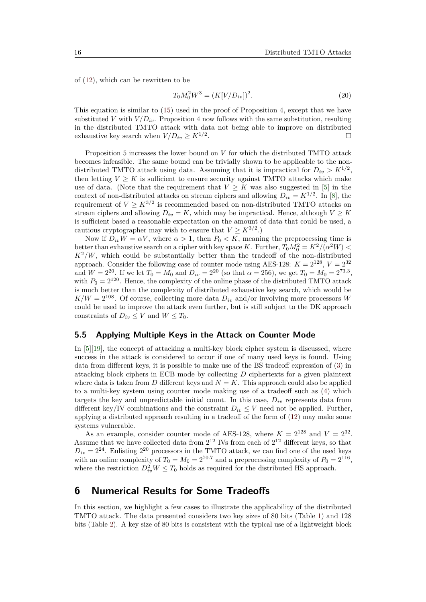of [\(12\)](#page-10-1), which can be rewritten to be

$$
T_0 M_0^2 W^3 = (K[V/D_{iv}])^2.
$$
\n(20)

This equation is similar to [\(15\)](#page-13-0) used in the proof of Proposition 4, except that we have substituted *V* with  $V/D_{iv}$ . Proposition 4 now follows with the same substitution, resulting in the distributed TMTO attack with data not being able to improve on distributed exhaustive key search when  $V/D_{iv} \geq K^{1/2}$ . .

Proposition 5 increases the lower bound on *V* for which the distributed TMTO attack becomes infeasible. The same bound can be trivially shown to be applicable to the nondistributed TMTO attack using data. Assuming that it is impractical for  $D_{iv} > K^{1/2}$ , then letting  $V \geq K$  is sufficient to ensure security against TMTO attacks which make use of data. (Note that the requirement that  $V \geq K$  was also suggested in [\[5\]](#page-17-4) in the context of non-distributed attacks on stream ciphers and allowing  $D_{iv} = K^{1/2}$ . In [\[8\]](#page-17-7), the requirement of  $V \geq K^{3/2}$  is recommended based on non-distributed TMTO attacks on stream ciphers and allowing  $D_{iv} = K$ , which may be impractical. Hence, although  $V \geq K$ is sufficient based a reasonable expectation on the amount of data that could be used, a cautious cryptographer may wish to ensure that  $V \geq K^{3/2}$ .

Now if  $D_{iv}W = \alpha V$ , where  $\alpha > 1$ , then  $P_0 < K$ , meaning the preprocessing time is better than exhaustive search on a cipher with key space *K*. Further,  $T_0 M_0^2 = K^2/(\alpha^2 W)$  <  $K^2/W$ , which could be substantially better than the tradeoff of the non-distributed approach. Consider the following case of counter mode using AES-128:  $K = 2^{128}$ ,  $V = 2^{32}$ and  $W = 2^{20}$ . If we let  $T_0 = M_0$  and  $D_{iv} = 2^{20}$  (so that  $\alpha = 256$ ), we get  $T_0 = M_0 = 2^{73.3}$ , with  $P_0 = 2^{120}$ . Hence, the complexity of the online phase of the distributed TMTO attack is much better than the complexity of distributed exhaustive key search, which would be  $K/W = 2^{108}$ . Of course, collecting more data  $D_{iv}$  and/or involving more processors *W* could be used to improve the attack even further, but is still subject to the DK approach constraints of  $D_{iv} \leq V$  and  $W \leq T_0$ .

## <span id="page-15-0"></span>**5.5 Applying Multiple Keys in the Attack on Counter Mode**

In [\[5\]](#page-17-4)[\[19\]](#page-18-7), the concept of attacking a multi-key block cipher system is discussed, where success in the attack is considered to occur if one of many used keys is found. Using data from different keys, it is possible to make use of the BS tradeoff expression of [\(3\)](#page-3-0) in attacking block ciphers in ECB mode by collecting *D* ciphertexts for a given plaintext where data is taken from *D* different keys and  $N = K$ . This approach could also be applied to a multi-key system using counter mode making use of a tradeoff such as [\(4\)](#page-3-1) which targets the key and unpredictable initial count. In this case,  $D_{iv}$  represents data from different key/IV combinations and the constraint  $D_{iv} \leq V$  need not be applied. Further, applying a distributed approach resulting in a tradeoff of the form of [\(12\)](#page-10-1) may make some systems vulnerable.

As an example, consider counter mode of AES-128, where  $K = 2^{128}$  and  $V = 2^{32}$ . Assume that we have collected data from  $2^{12}$  IVs from each of  $2^{12}$  different keys, so that  $D_{iv} = 2^{24}$ . Enlisting  $2^{20}$  processors in the TMTO attack, we can find one of the used keys with an online complexity of  $T_0 = M_0 = 2^{70.7}$  and a preprocessing complexity of  $P_0 = 2^{116}$ , where the restriction  $D_{iv}^2 W \leq T_0$  holds as required for the distributed HS approach.

## **6 Numerical Results for Some Tradeoffs**

In this section, we highlight a few cases to illustrate the applicability of the distributed TMTO attack. The data presented considers two key sizes of 80 bits (Table [1\)](#page-16-0) and 128 bits (Table [2\)](#page-16-1). A key size of 80 bits is consistent with the typical use of a lightweight block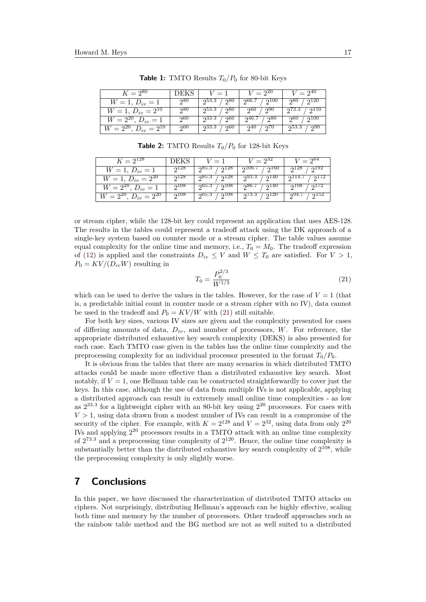<span id="page-16-0"></span>

| $K = 2^{80}$                     | DEKS | $V=1$                       | $V = 2^{20}$          | $V = 2^{40}$                   |
|----------------------------------|------|-----------------------------|-----------------------|--------------------------------|
| $W = 1, D_{iv} = 1$              | 280  | $953.\overline{3}$<br>⁄ 980 | 966.7 / 9100          | $2^{80}$ / $2^{120}$           |
| $W=1, D_{iv}=2^{10}$             | 280  | $2^{53.3}$ / $2^{80}$       | $2^{60}$ / $2^{90}$   | $\sqrt{273.3}$ / $\sqrt{2110}$ |
| $W = 2^{20}$ , $D_{iv} = 1$      | 260  | 233.37260                   | $2^{46.7}$ / $2^{80}$ | $2^{60}$ / $2^{100}$           |
| $W = 2^{20}$ , $D_{iv} = 2^{10}$ | 260  | 233.3 / 260                 | $2^{40}$ / $2^{70}$   | $2^{53.3}$<br>/290             |

**Table 1:** TMTO Results  $T_0/P_0$  for 80-bit Keys

**Table 2:** TMTO Results  $T_0/P_0$  for 128-bit Keys

<span id="page-16-1"></span>

| $K = 2^{128}$                    | DEKS      | $V=1$                       | $V = 2^{32}$            | $V = 2^{64}$           |
|----------------------------------|-----------|-----------------------------|-------------------------|------------------------|
| $W = 1, D_{iv} = 1$              | $2^{128}$ | $2^{85.3}$ $\sqrt{2^{128}}$ | $2^{106.7}$ $7^{160}$   | $2^{128}$ / $2^{192}$  |
| $W=1, D_{iv}=2^{20}$             | $2^{128}$ | $2^{85.3}$ $\sqrt{2^{128}}$ | $-2^{93.3}$ / $2^{140}$ | $2^{114.7}$ $7^{172}$  |
| $W = 2^{20}$ , $D_{iv} = 1$      | $2^{108}$ | $2^{65.3}$ $\sqrt{2^{108}}$ | $-286.7 + 2140$         | $2^{108}$ / $2^{172}$  |
| $W = 2^{20}$ , $D_{iv} = 2^{20}$ | 2108      | $\sqrt{2108}$<br>965.3      | $2^{73.3}$ / $2^{120}$  | $2^{94.7}$ / $2^{152}$ |

or stream cipher, while the 128-bit key could represent an application that uses AES-128. The results in the tables could represent a tradeoff attack using the DK approach of a single-key system based on counter mode or a stream cipher. The table values assume equal complexity for the online time and memory, i.e.,  $T_0 = M_0$ . The tradeoff expression of [\(12\)](#page-10-1) is applied and the constraints  $D_{iv} \leq V$  and  $W \leq T_0$  are satisfied. For  $V > 1$ ,  $P_0 = KV/(D_{iv}W)$  resulting in

<span id="page-16-2"></span>
$$
T_0 = \frac{P_0^{2/3}}{W^{1/3}}\tag{21}
$$

which can be used to derive the values in the tables. However, for the case of  $V = 1$  (that is, a predictable initial count in counter mode or a stream cipher with no IV), data cannot be used in the tradeoff and  $P_0 = KV/W$  with [\(21\)](#page-16-2) still suitable.

For both key sizes, various IV sizes are given and the complexity presented for cases of differing amounts of data, *Div*, and number of processors, *W*. For reference, the appropriate distributed exhaustive key search complexity (DEKS) is also presented for each case. Each TMTO case given in the tables has the online time complexity and the preprocessing complexity for an individual processor presented in the format  $T_0/P_0$ .

It is obvious from the tables that there are many scenarios in which distributed TMTO attacks could be made more effective than a distributed exhaustive key search. Most notably, if  $V = 1$ , one Hellman table can be constructed straightforwardly to cover just the keys. In this case, although the use of data from multiple IVs is not applicable, applying a distributed approach can result in extremely small online time complexities - as low as 2 33*.*3 for a lightweight cipher with an 80-bit key using 2 <sup>20</sup> processors. For cases with *V >* 1, using data drawn from a modest number of IVs can result in a compromise of the security of the cipher. For example, with  $K = 2^{128}$  and  $V = 2^{32}$ , using data from only  $2^{20}$ IVs and applying  $2^{20}$  processors results in a TMTO attack with an online time complexity of  $2^{73.3}$  and a preprocessing time complexity of  $2^{120}$ . Hence, the online time complexity is substantially better than the distributed exhaustive key search complexity of  $2^{108}$ , while the preprocessing complexity is only slightly worse.

## **7 Conclusions**

In this paper, we have discussed the characterization of distributed TMTO attacks on ciphers. Not surprisingly, distributing Hellman's approach can be highly effective, scaling both time and memory by the number of processors. Other tradeoff approaches such as the rainbow table method and the BG method are not as well suited to a distributed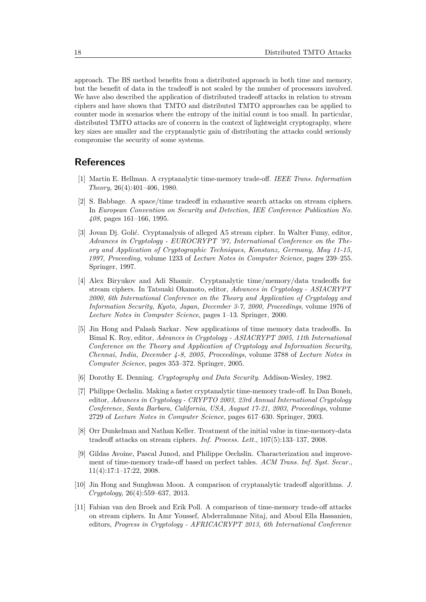approach. The BS method benefits from a distributed approach in both time and memory, but the benefit of data in the tradeoff is not scaled by the number of processors involved. We have also described the application of distributed tradeoff attacks in relation to stream ciphers and have shown that TMTO and distributed TMTO approaches can be applied to counter mode in scenarios where the entropy of the initial count is too small. In particular, distributed TMTO attacks are of concern in the context of lightweight cryptography, where key sizes are smaller and the cryptanalytic gain of distributing the attacks could seriously compromise the security of some systems.

## **References**

- <span id="page-17-0"></span>[1] Martin E. Hellman. A cryptanalytic time-memory trade-off. *IEEE Trans. Information Theory*, 26(4):401–406, 1980.
- <span id="page-17-1"></span>[2] S. Babbage. A space/time tradeoff in exhaustive search attacks on stream ciphers. In *European Convention on Security and Detection, IEE Conference Publication No. 408*, pages 161–166, 1995.
- <span id="page-17-2"></span>[3] Jovan Dj. Golić. Cryptanalysis of alleged A5 stream cipher. In Walter Fumy, editor, *Advances in Cryptology - EUROCRYPT '97, International Conference on the Theory and Application of Cryptographic Techniques, Konstanz, Germany, May 11-15, 1997, Proceeding*, volume 1233 of *Lecture Notes in Computer Science*, pages 239–255. Springer, 1997.
- <span id="page-17-3"></span>[4] Alex Biryukov and Adi Shamir. Cryptanalytic time/memory/data tradeoffs for stream ciphers. In Tatsuaki Okamoto, editor, *Advances in Cryptology - ASIACRYPT 2000, 6th International Conference on the Theory and Application of Cryptology and Information Security, Kyoto, Japan, December 3-7, 2000, Proceedings*, volume 1976 of *Lecture Notes in Computer Science*, pages 1–13. Springer, 2000.
- <span id="page-17-4"></span>[5] Jin Hong and Palash Sarkar. New applications of time memory data tradeoffs. In Bimal K. Roy, editor, *Advances in Cryptology - ASIACRYPT 2005, 11th International Conference on the Theory and Application of Cryptology and Information Security, Chennai, India, December 4-8, 2005, Proceedings*, volume 3788 of *Lecture Notes in Computer Science*, pages 353–372. Springer, 2005.
- <span id="page-17-5"></span>[6] Dorothy E. Denning. *Cryptography and Data Security*. Addison-Wesley, 1982.
- <span id="page-17-6"></span>[7] Philippe Oechslin. Making a faster cryptanalytic time-memory trade-off. In Dan Boneh, editor, *Advances in Cryptology - CRYPTO 2003, 23rd Annual International Cryptology Conference, Santa Barbara, California, USA, August 17-21, 2003, Proceedings*, volume 2729 of *Lecture Notes in Computer Science*, pages 617–630. Springer, 2003.
- <span id="page-17-7"></span>[8] Orr Dunkelman and Nathan Keller. Treatment of the initial value in time-memory-data tradeoff attacks on stream ciphers. *Inf. Process. Lett.*, 107(5):133–137, 2008.
- <span id="page-17-8"></span>[9] Gildas Avoine, Pascal Junod, and Philippe Oechslin. Characterization and improvement of time-memory trade-off based on perfect tables. *ACM Trans. Inf. Syst. Secur.*, 11(4):17:1–17:22, 2008.
- <span id="page-17-9"></span>[10] Jin Hong and Sunghwan Moon. A comparison of cryptanalytic tradeoff algorithms. *J. Cryptology*, 26(4):559–637, 2013.
- <span id="page-17-10"></span>[11] Fabian van den Broek and Erik Poll. A comparison of time-memory trade-off attacks on stream ciphers. In Amr Youssef, Abderrahmane Nitaj, and Aboul Ella Hassanien, editors, *Progress in Cryptology - AFRICACRYPT 2013, 6th International Conference*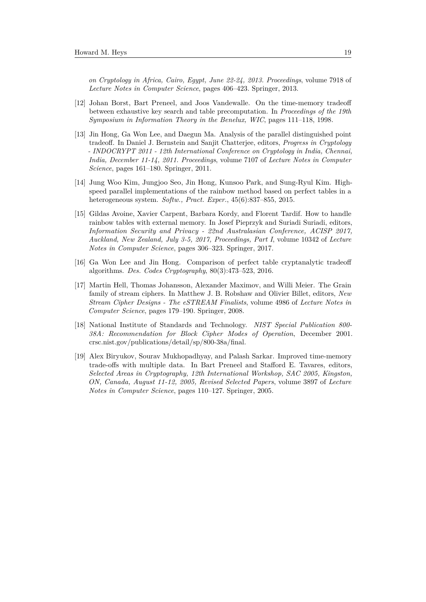*on Cryptology in Africa, Cairo, Egypt, June 22-24, 2013. Proceedings*, volume 7918 of *Lecture Notes in Computer Science*, pages 406–423. Springer, 2013.

- <span id="page-18-0"></span>[12] Johan Borst, Bart Preneel, and Joos Vandewalle. On the time-memory tradeoff between exhaustive key search and table precomputation. In *Proceedings of the 19th Symposium in Information Theory in the Benelux, WIC*, pages 111–118, 1998.
- <span id="page-18-1"></span>[13] Jin Hong, Ga Won Lee, and Daegun Ma. Analysis of the parallel distinguished point tradeoff. In Daniel J. Bernstein and Sanjit Chatterjee, editors, *Progress in Cryptology - INDOCRYPT 2011 - 12th International Conference on Cryptology in India, Chennai, India, December 11-14, 2011. Proceedings*, volume 7107 of *Lecture Notes in Computer Science*, pages 161–180. Springer, 2011.
- <span id="page-18-2"></span>[14] Jung Woo Kim, Jungjoo Seo, Jin Hong, Kunsoo Park, and Sung-Ryul Kim. Highspeed parallel implementations of the rainbow method based on perfect tables in a heterogeneous system. *Softw., Pract. Exper.*, 45(6):837–855, 2015.
- <span id="page-18-3"></span>[15] Gildas Avoine, Xavier Carpent, Barbara Kordy, and Florent Tardif. How to handle rainbow tables with external memory. In Josef Pieprzyk and Suriadi Suriadi, editors, *Information Security and Privacy - 22nd Australasian Conference, ACISP 2017, Auckland, New Zealand, July 3-5, 2017, Proceedings, Part I*, volume 10342 of *Lecture Notes in Computer Science*, pages 306–323. Springer, 2017.
- <span id="page-18-4"></span>[16] Ga Won Lee and Jin Hong. Comparison of perfect table cryptanalytic tradeoff algorithms. *Des. Codes Cryptography*, 80(3):473–523, 2016.
- <span id="page-18-5"></span>[17] Martin Hell, Thomas Johansson, Alexander Maximov, and Willi Meier. The Grain family of stream ciphers. In Matthew J. B. Robshaw and Olivier Billet, editors, *New Stream Cipher Designs - The eSTREAM Finalists*, volume 4986 of *Lecture Notes in Computer Science*, pages 179–190. Springer, 2008.
- <span id="page-18-6"></span>[18] National Institute of Standards and Technology. *NIST Special Publication 800- 38A: Recommendation for Block Cipher Modes of Operation*, December 2001. crsc.nist.gov/publications/detail/sp/800-38a/final.
- <span id="page-18-7"></span>[19] Alex Biryukov, Sourav Mukhopadhyay, and Palash Sarkar. Improved time-memory trade-offs with multiple data. In Bart Preneel and Stafford E. Tavares, editors, *Selected Areas in Cryptography, 12th International Workshop, SAC 2005, Kingston, ON, Canada, August 11-12, 2005, Revised Selected Papers*, volume 3897 of *Lecture Notes in Computer Science*, pages 110–127. Springer, 2005.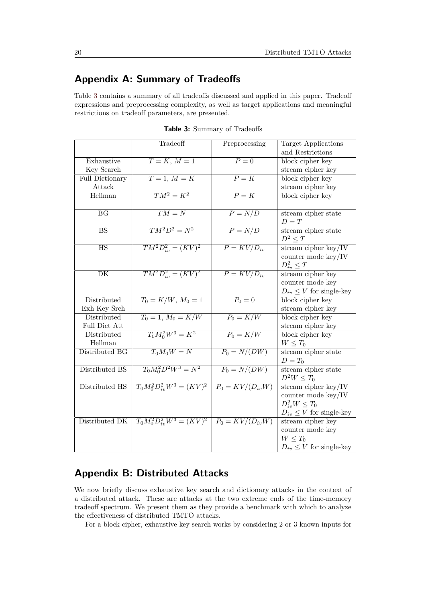## **Appendix A: Summary of Tradeoffs**

Table [3](#page-19-0) contains a summary of all tradeoffs discussed and applied in this paper. Tradeoff expressions and preprocessing complexity, as well as target applications and meaningful restrictions on tradeoff parameters, are presented.

<span id="page-19-0"></span>

|                        | Tradeoff                          | Preprocessing        | <b>Target Applications</b>     |
|------------------------|-----------------------------------|----------------------|--------------------------------|
|                        |                                   |                      | and Restrictions               |
| Exhaustive             | $T=K, M=1$                        | $\overline{P=0}$     | block cipher key               |
| Key Search             |                                   |                      | stream cipher key              |
| Full Dictionary        | $T=1, M=K$                        | $P = K$              | block cipher key               |
| $\rm Attack$           |                                   |                      | stream cipher key              |
| Hellman                | $TM^2=K^2$                        | $P = K$              | block cipher key               |
| BG                     | $TM = N$                          | $P = N/D$            | stream cipher state            |
|                        |                                   |                      | $D = T$                        |
| $\overline{\text{BS}}$ | $TM^2D^2=N^2$                     | $P = N/D$            | stream cipher state            |
|                        |                                   |                      | $D^2 \leq T$                   |
| $_{\rm HS}$            | $TM^{2}D_{in}^{2}=(KV)^{2}$       | $P = KV/D_{iv}$      | stream cipher $key/IV$         |
|                        |                                   |                      | counter mode key/IV            |
|                        |                                   |                      | $D_{iv}^2 \leq T$              |
| $\overline{\rm DK}$    | $TM^{2}D_{iv}^{2} = (KV)^{2}$     | $P = KV/D_{iv}$      | stream cipher key              |
|                        |                                   |                      | counter mode key               |
|                        |                                   |                      | $D_{iv} \leq V$ for single-key |
| Distributed            | $T_0 = K/W, M_0 = 1$              | $P_0 = 0$            | block cipher key               |
| Exh Key Srch           |                                   |                      | stream cipher key              |
| Distributed            | $T_0 = 1, M_0 = K/W$              | $P_0 = K/W$          | block cipher key               |
| Full Dict Att          |                                   |                      | stream cipher key              |
| Distributed            | $T_0M_0^2W^3=K^2$                 | $P_0 = K/W$          | block cipher key               |
| Hellman                |                                   |                      | $W \leq T_0$                   |
| Distributed BG         | $T_0M_0W=N$                       | $P_0 = N/(DW)$       | stream cipher state            |
|                        |                                   |                      | $D=T_0$                        |
| Distributed BS         | $T_0M_0^2D^2W^3=N^2$              | $P_0 = N/(DW)$       | stream cipher state            |
|                        |                                   |                      | $D^2W\leq T_0$                 |
| Distributed HS         | $T_0M_0^2D_{iv}^2W^3 = (KV)^2$    | $P_0 = KV/(D_{iv}W)$ | stream cipher $key/IV$         |
|                        |                                   |                      | counter mode key/IV            |
|                        |                                   |                      | $D_{iv}^2 W \leq T_0$          |
|                        |                                   |                      | $D_{iv} \leq V$ for single-key |
| Distributed DK         | $T_0 M_0^2 D_{iv}^2 W^3 = (KV)^2$ | $P_0 = KV/(D_{iv}W)$ | stream cipher key              |
|                        |                                   |                      | counter mode key               |
|                        |                                   |                      | $W \leq T_0$                   |
|                        |                                   |                      | $D_{iv} \leq V$ for single-key |

**Table 3:** Summary of Tradeoffs

## **Appendix B: Distributed Attacks**

We now briefly discuss exhaustive key search and dictionary attacks in the context of a distributed attack. These are attacks at the two extreme ends of the time-memory tradeoff spectrum. We present them as they provide a benchmark with which to analyze the effectiveness of distributed TMTO attacks.

For a block cipher, exhaustive key search works by considering 2 or 3 known inputs for